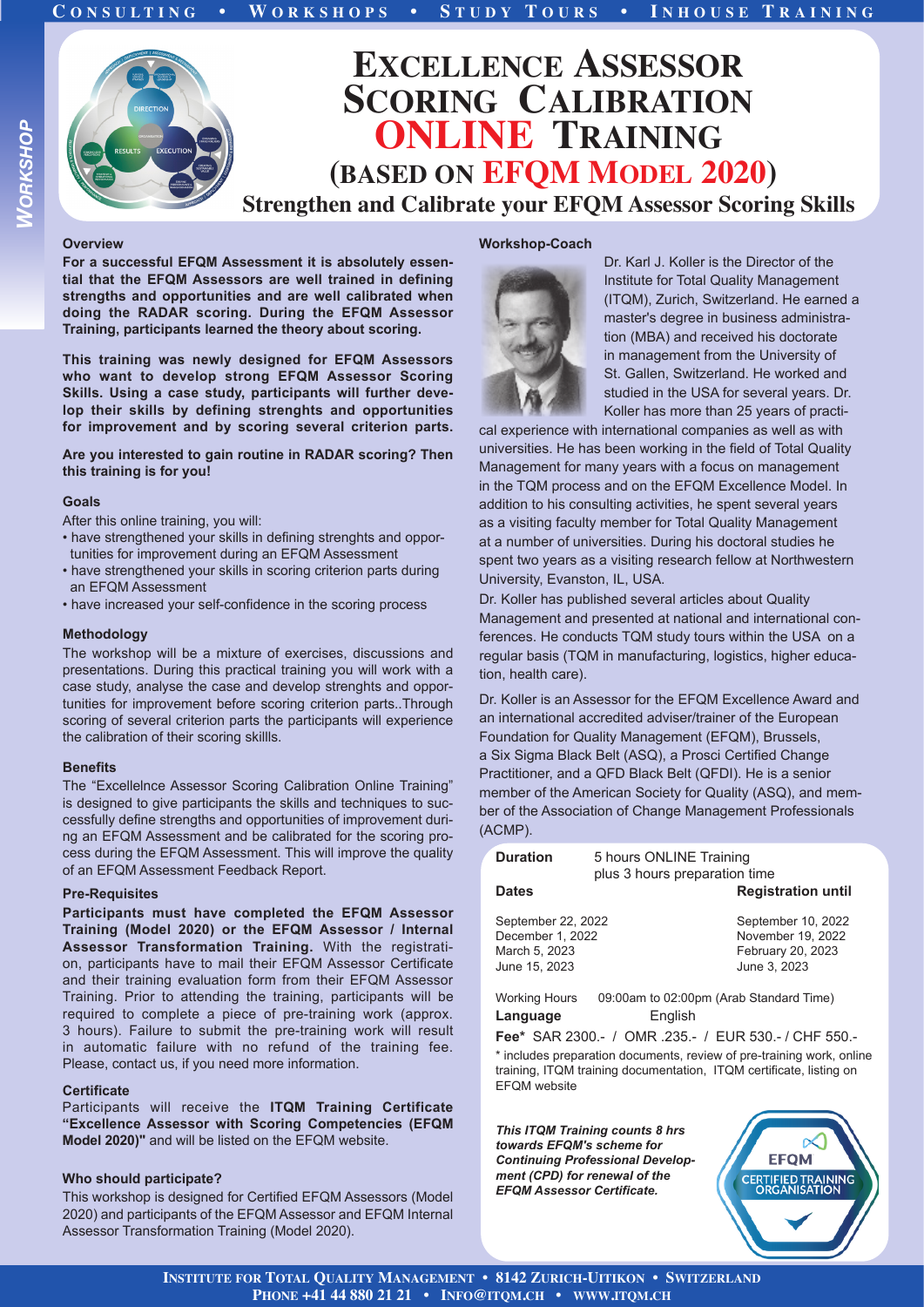

# **Overview**

*WORKSHOP*

**ORKSHOP** 

**For a successful EFQM Assessment it is absolutely essential that the EFQM Assessors are well trained in defining strengths and opportunities and are well calibrated when doing the RADAR scoring. During the EFQM Assessor Training, participants learned the theory about scoring.** 

**This training was newly designed for EFQM Assessors who want to develop strong EFQM Assessor Scoring Skills. Using a case study, participants will further develop their skills by defining strenghts and opportunities for improvement and by scoring several criterion parts.**

# **Are you interested to gain routine in RADAR scoring? Then this training is for you!**

# **Goals**

After this online training, you will:

- have strengthened your skills in defining strenghts and oppor tunities for improvement during an EFQM Assessment
- have strengthened your skills in scoring criterion parts during an EFQM Assessment
- have increased your self-confidence in the scoring process

### **Methodology**

The workshop will be a mixture of exercises, discussions and presentations. During this practical training you will work with a case study, analyse the case and develop strenghts and opportunities for improvement before scoring criterion parts..Through scoring of several criterion parts the participants will experience the calibration of their scoring skillls.

### **Benefits**

The "Excellelnce Assessor Scoring Calibration Online Training" is designed to give participants the skills and techniques to successfully define strengths and opportunities of improvement during an EFQM Assessment and be calibrated for the scoring process during the EFQM Assessment. This will improve the quality of an EFQM Assessment Feedback Report.

### **Pre-Requisites**

**Participants must have completed the EFQM Assessor Training (Model 2020) or the EFQM Assessor / Internal Assessor Transformation Training.** With the registration, participants have to mail their EFQM Assessor Certificate and their training evaluation form from their EFQM Assessor Training. Prior to attending the training, participants will be required to complete a piece of pre-training work (approx. 3 hours). Failure to submit the pre-training work will result in automatic failure with no refund of the training fee. Please, contact us, if you need more information.

# **Certificate**

Participants will receive the **ITQM Training Certificate "Excellence Assessor with Scoring Competencies (EFQM Model 2020)"** and will be listed on the EFQM website.

# **Who should participate?**

This workshop is designed for Certified EFQM Assessors (Model 2020) and participants of the EFQM Assessor and EFQM Internal Assessor Transformation Training (Model 2020).

# **Workshop-Coach**



Dr. Karl J. Koller is the Director of the Institute for Total Quality Management (ITQM), Zurich, Switzerland. He earned a master's degree in business administration (MBA) and received his doctorate in management from the University of St. Gallen, Switzerland. He worked and studied in the USA for several years. Dr. Koller has more than 25 years of practi-

cal experience with international companies as well as with universities. He has been working in the field of Total Quality Management for many years with a focus on management in the TQM process and on the EFQM Excellence Model. In addition to his consulting activities, he spent several years as a visiting faculty member for Total Quality Management at a number of universities. During his doctoral studies he spent two years as a visiting research fellow at Northwestern University, Evanston, IL, USA.

Dr. Koller has published several articles about Quality Management and presented at national and international conferences. He conducts TQM study tours within the USA on a regular basis (TQM in manufacturing, logistics, higher education, health care).

Dr. Koller is an Assessor for the EFQM Excellence Award and an international accredited adviser/trainer of the European Foundation for Quality Management (EFQM), Brussels, a Six Sigma Black Belt (ASQ), a Prosci Certified Change Practitioner, and a QFD Black Belt (QFDI). He is a senior member of the American Society for Quality (ASQ), and member of the Association of Change Management Professionals (ACMP).

| <b>Duration</b>                                                          | 5 hours ONLINE Training<br>plus 3 hours preparation time |                                                                              |
|--------------------------------------------------------------------------|----------------------------------------------------------|------------------------------------------------------------------------------|
| <b>Dates</b>                                                             |                                                          | <b>Registration until</b>                                                    |
| September 22, 2022<br>December 1, 2022<br>March 5, 2023<br>June 15, 2023 |                                                          | September 10, 2022<br>November 19, 2022<br>February 20, 2023<br>June 3, 2023 |
| <b>Working Hours</b><br>Language                                         | 09:00am to 02:00pm (Arab Standard Time)<br>Enalish       |                                                                              |

**Fee\*** SAR 2300.- / OMR .235.- / EUR 530.- / CHF 550.-

\* includes preparation documents, review of pre-training work, online training, ITQM training documentation, ITQM certificate, listing on EFQM website

*This ITQM Training counts 8 hrs towards EFQM's scheme for Continuing Professional Development (CPD) for renewal of the EFQM Assessor Certificate.*